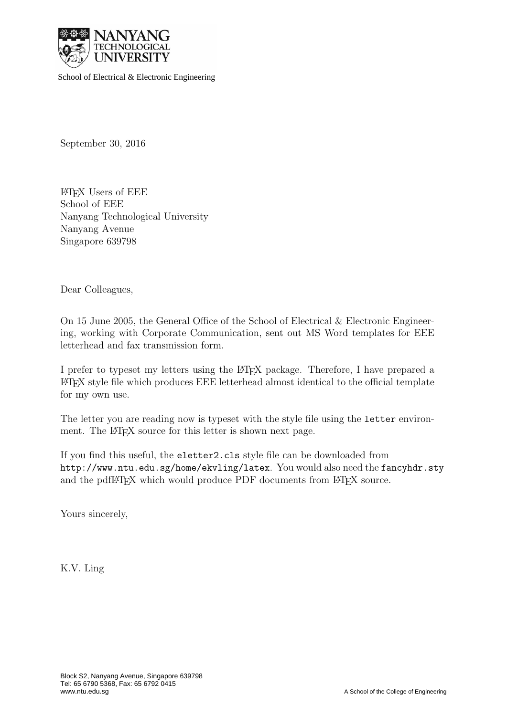

School of Electrical & Electronic Engineering School of Electrical & Electronic Engineering

September 30, 2016

LATEX Users of EEE School of EEE Nanyang Technological University Nanyang Avenue Singapore 639798

Dear Colleagues,

On 15 June 2005, the General Office of the School of Electrical & Electronic Engineering, working with Corporate Communication, sent out MS Word templates for EEE letterhead and fax transmission form.

I prefer to typeset my letters using the LATEX package. Therefore, I have prepared a LATEX style file which produces EEE letterhead almost identical to the official template for my own use.

The letter you are reading now is typeset with the style file using the letter environment. The LAT<sub>E</sub>X source for this letter is shown next page.

If you find this useful, the eletter2.cls style file can be downloaded from http://www.ntu.edu.sg/home/ekvling/latex. You would also need the fancyhdr.sty and the pdfL<sup>AT</sup>EX which would produce PDF documents from L<sup>AT</sup>EX source.

Yours sincerely,

K.V. Ling